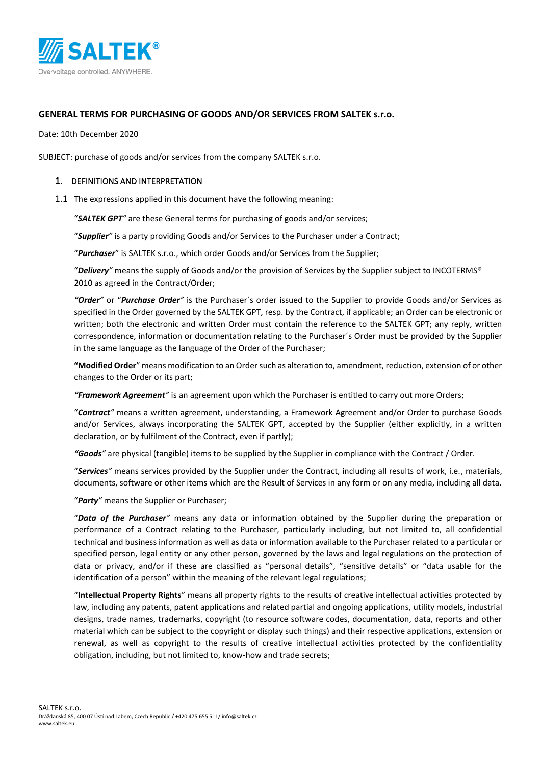

### **GENERAL TERMS FOR PURCHASING OF GOODS AND/OR SERVICES FROM SALTEK s.r.o.**

Date: 10th December 2020

SUBJECT: purchase of goods and/or services from the company SALTEK s.r.o.

#### 1. DEFINITIONS AND INTERPRETATION

1.1 The expressions applied in this document have the following meaning:

"*SALTEK GPT"* are these General terms for purchasing of goods and/or services;

"*Supplier"* is a party providing Goods and/or Services to the Purchaser under a Contract;

"*Purchaser*" is SALTEK s.r.o., which order Goods and/or Services from the Supplier;

"*Delivery"* means the supply of Goods and/or the provision of Services by the Supplier subject to INCOTERMS® 2010 as agreed in the Contract/Order;

*"Order"* or "*Purchase Order"* is the Purchaser´s order issued to the Supplier to provide Goods and/or Services as specified in the Order governed by the SALTEK GPT, resp. by the Contract, if applicable; an Order can be electronic or written; both the electronic and written Order must contain the reference to the SALTEK GPT; any reply, written correspondence, information or documentation relating to the Purchaser´s Order must be provided by the Supplier in the same language as the language of the Order of the Purchaser;

**"Modified Order**" means modification to an Order such as alteration to, amendment, reduction, extension of or other changes to the Order or its part;

*"Framework Agreement"* is an agreement upon which the Purchaser is entitled to carry out more Orders;

"*Contract"* means a written agreement, understanding, a Framework Agreement and/or Order to purchase Goods and/or Services, always incorporating the SALTEK GPT, accepted by the Supplier (either explicitly, in a written declaration, or by fulfilment of the Contract, even if partly);

*"Goods"* are physical (tangible) items to be supplied by the Supplier in compliance with the Contract / Order.

"*Services"* means services provided by the Supplier under the Contract, including all results of work, i.e., materials, documents, software or other items which are the Result of Services in any form or on any media, including all data.

"*Party"* means the Supplier or Purchaser;

"*Data of the Purchaser"* means any data or information obtained by the Supplier during the preparation or performance of a Contract relating to the Purchaser, particularly including, but not limited to, all confidential technical and business information as well as data or information available to the Purchaser related to a particular or specified person, legal entity or any other person, governed by the laws and legal regulations on the protection of data or privacy, and/or if these are classified as "personal details", "sensitive details" or "data usable for the identification of a person" within the meaning of the relevant legal regulations;

"**Intellectual Property Rights**" means all property rights to the results of creative intellectual activities protected by law, including any patents, patent applications and related partial and ongoing applications, utility models, industrial designs, trade names, trademarks, copyright (to resource software codes, documentation, data, reports and other material which can be subject to the copyright or display such things) and their respective applications, extension or renewal, as well as copyright to the results of creative intellectual activities protected by the confidentiality obligation, including, but not limited to, know-how and trade secrets;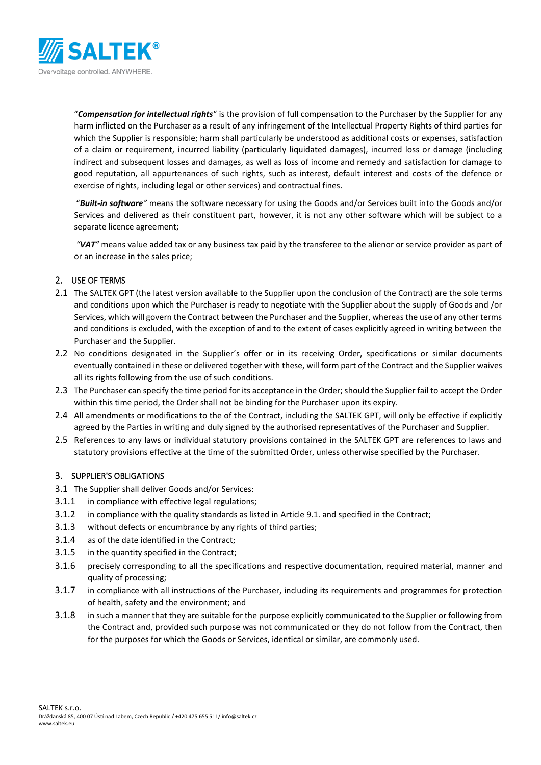

"*Compensation for intellectual rights*" is the provision of full compensation to the Purchaser by the Supplier for any harm inflicted on the Purchaser as a result of any infringement of the Intellectual Property Rights of third parties for which the Supplier is responsible; harm shall particularly be understood as additional costs or expenses, satisfaction of a claim or requirement, incurred liability (particularly liquidated damages), incurred loss or damage (including indirect and subsequent losses and damages, as well as loss of income and remedy and satisfaction for damage to good reputation, all appurtenances of such rights, such as interest, default interest and costs of the defence or exercise of rights, including legal or other services) and contractual fines.

"*Built-in software"* means the software necessary for using the Goods and/or Services built into the Goods and/or Services and delivered as their constituent part, however, it is not any other software which will be subject to a separate licence agreement;

*"VAT"* means value added tax or any business tax paid by the transferee to the alienor or service provider as part of or an increase in the sales price;

## 2. USE OF TERMS

- 2.1 The SALTEK GPT (the latest version available to the Supplier upon the conclusion of the Contract) are the sole terms and conditions upon which the Purchaser is ready to negotiate with the Supplier about the supply of Goods and /or Services, which will govern the Contract between the Purchaser and the Supplier, whereas the use of any other terms and conditions is excluded, with the exception of and to the extent of cases explicitly agreed in writing between the Purchaser and the Supplier.
- 2.2 No conditions designated in the Supplier´s offer or in its receiving Order, specifications or similar documents eventually contained in these or delivered together with these, will form part of the Contract and the Supplier waives all its rights following from the use of such conditions.
- 2.3 The Purchaser can specify the time period for its acceptance in the Order; should the Supplier fail to accept the Order within this time period, the Order shall not be binding for the Purchaser upon its expiry.
- 2.4 All amendments or modifications to the of the Contract, including the SALTEK GPT, will only be effective if explicitly agreed by the Parties in writing and duly signed by the authorised representatives of the Purchaser and Supplier.
- 2.5 References to any laws or individual statutory provisions contained in the SALTEK GPT are references to laws and statutory provisions effective at the time of the submitted Order, unless otherwise specified by the Purchaser.

## <span id="page-1-0"></span>3. SUPPLIER'S OBLIGATIONS

- 3.1 The Supplier shall deliver Goods and/or Services:
- 3.1.1 in compliance with effective legal regulations;
- 3.1.2 in compliance with the quality standards as listed in Articl[e 9.1.](#page-4-0) and specified in the Contract;
- 3.1.3 without defects or encumbrance by any rights of third parties;
- 3.1.4 as of the date identified in the Contract;
- 3.1.5 in the quantity specified in the Contract;
- 3.1.6 precisely corresponding to all the specifications and respective documentation, required material, manner and quality of processing;
- 3.1.7 in compliance with all instructions of the Purchaser, including its requirements and programmes for protection of health, safety and the environment; and
- 3.1.8 in such a manner that they are suitable for the purpose explicitly communicated to the Supplier or following from the Contract and, provided such purpose was not communicated or they do not follow from the Contract, then for the purposes for which the Goods or Services, identical or similar, are commonly used.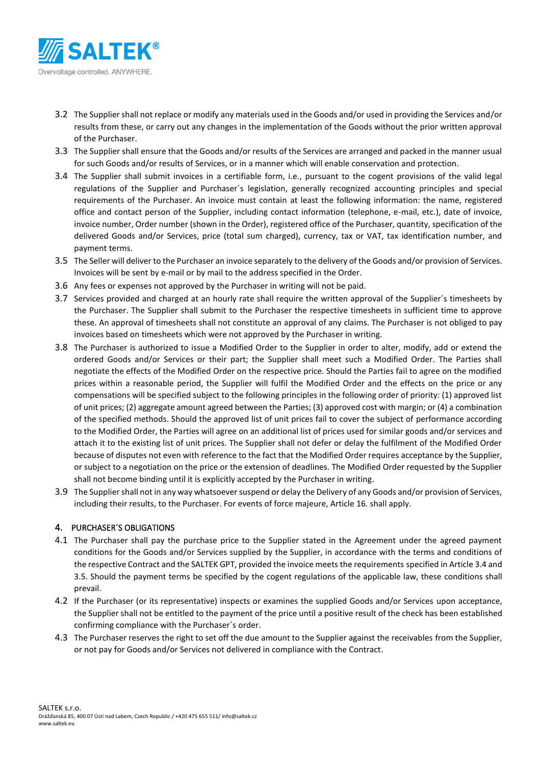

- 3.2 The Supplier shall not replace or modify any materials used in the Goods and/or used in providing the Services and/or results from these, or carry out any changes in the implementation of the Goods without the prior written approval of the Purchaser.
- 3.3 The Supplier shall ensure that the Goods and/or results of the Services are arranged and packed in the manner usual for such Goods and/or results of Services, or in a manner which will enable conservation and protection.
- <span id="page-2-0"></span>3.4 The Supplier shall submit invoices in a certifiable form, i.e., pursuant to the cogent provisions of the valid legal regulations of the Supplier and Purchaser´s legislation, generally recognized accounting principles and special requirements of the Purchaser. An invoice must contain at least the following information: the name, registered office and contact person of the Supplier, including contact information (telephone, e-mail, etc.), date of invoice, invoice number, Order number (shown in the Order), registered office of the Purchaser, quantity, specification of the delivered Goods and/or Services, price (total sum charged), currency, tax or VAT, tax identification number, and payment terms.
- <span id="page-2-1"></span>3.5 The Seller will deliver to the Purchaser an invoice separately to the delivery of the Goods and/or provision of Services. Invoices will be sent by e-mail or by mail to the address specified in the Order.
- 3.6 Any fees or expenses not approved by the Purchaser in writing will not be paid.
- 3.7 Services provided and charged at an hourly rate shall require the written approval of the Supplier´s timesheets by the Purchaser. The Supplier shall submit to the Purchaser the respective timesheets in sufficient time to approve these. An approval of timesheets shall not constitute an approval of any claims. The Purchaser is not obliged to pay invoices based on timesheets which were not approved by the Purchaser in writing.
- 3.8 The Purchaser is authorized to issue a Modified Order to the Supplier in order to alter, modify, add or extend the ordered Goods and/or Services or their part; the Supplier shall meet such a Modified Order. The Parties shall negotiate the effects of the Modified Order on the respective price. Should the Parties fail to agree on the modified prices within a reasonable period, the Supplier will fulfil the Modified Order and the effects on the price or any compensations will be specified subject to the following principles in the following order of priority: (1) approved list of unit prices; (2) aggregate amount agreed between the Parties; (3) approved cost with margin; or (4) a combination of the specified methods. Should the approved list of unit prices fail to cover the subject of performance according to the Modified Order, the Parties will agree on an additional list of prices used for similar goods and/or services and attach it to the existing list of unit prices. The Supplier shall not defer or delay the fulfilment of the Modified Order because of disputes not even with reference to the fact that the Modified Order requires acceptance by the Supplier, or subject to a negotiation on the price or the extension of deadlines. The Modified Order requested by the Supplier shall not become binding until it is explicitly accepted by the Purchaser in writing.
- 3.9 The Supplier shall not in any way whatsoever suspend or delay the Delivery of any Goods and/or provision of Services, including their results, to the Purchaser. For events of force majeure, Articl[e 16.](#page-8-0) shall apply.

## 4. PURCHASER´S OBLIGATIONS

- 4.1 The Purchaser shall pay the purchase price to the Supplier stated in the Agreement under the agreed payment conditions for the Goods and/or Services supplied by the Supplier, in accordance with the terms and conditions of the respective Contract and the SALTEK GPT, provided the invoice meets the requirements specified in Articl[e 3.4](#page-2-0) and [3.5.](#page-2-1) Should the payment terms be specified by the cogent regulations of the applicable law, these conditions shall prevail.
- 4.2 If the Purchaser (or its representative) inspects or examines the supplied Goods and/or Services upon acceptance, the Supplier shall not be entitled to the payment of the price until a positive result of the check has been established confirming compliance with the Purchaser´s order.
- 4.3 The Purchaser reserves the right to set off the due amount to the Supplier against the receivables from the Supplier, or not pay for Goods and/or Services not delivered in compliance with the Contract.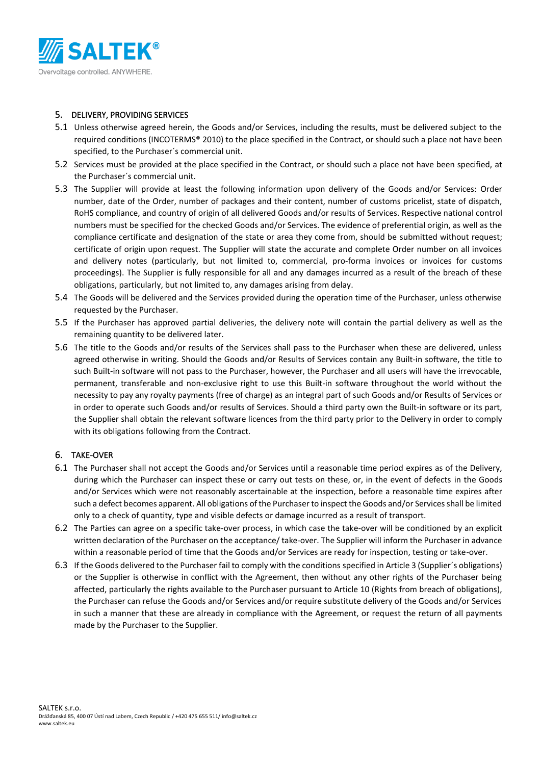

### 5. DELIVERY, PROVIDING SERVICES

- 5.1 Unless otherwise agreed herein, the Goods and/or Services, including the results, must be delivered subject to the required conditions (INCOTERMS® 2010) to the place specified in the Contract, or should such a place not have been specified, to the Purchaser´s commercial unit.
- 5.2 Services must be provided at the place specified in the Contract, or should such a place not have been specified, at the Purchaser´s commercial unit.
- 5.3 The Supplier will provide at least the following information upon delivery of the Goods and/or Services: Order number, date of the Order, number of packages and their content, number of customs pricelist, state of dispatch, RoHS compliance, and country of origin of all delivered Goods and/or results of Services. Respective national control numbers must be specified for the checked Goods and/or Services. The evidence of preferential origin, as well as the compliance certificate and designation of the state or area they come from, should be submitted without request; certificate of origin upon request. The Supplier will state the accurate and complete Order number on all invoices and delivery notes (particularly, but not limited to, commercial, pro-forma invoices or invoices for customs proceedings). The Supplier is fully responsible for all and any damages incurred as a result of the breach of these obligations, particularly, but not limited to, any damages arising from delay.
- 5.4 The Goods will be delivered and the Services provided during the operation time of the Purchaser, unless otherwise requested by the Purchaser.
- 5.5 If the Purchaser has approved partial deliveries, the delivery note will contain the partial delivery as well as the remaining quantity to be delivered later.
- 5.6 The title to the Goods and/or results of the Services shall pass to the Purchaser when these are delivered, unless agreed otherwise in writing. Should the Goods and/or Results of Services contain any Built-in software, the title to such Built-in software will not pass to the Purchaser, however, the Purchaser and all users will have the irrevocable, permanent, transferable and non-exclusive right to use this Built-in software throughout the world without the necessity to pay any royalty payments (free of charge) as an integral part of such Goods and/or Results of Services or in order to operate such Goods and/or results of Services. Should a third party own the Built-in software or its part, the Supplier shall obtain the relevant software licences from the third party prior to the Delivery in order to comply with its obligations following from the Contract.

## 6. TAKE-OVER

- 6.1 The Purchaser shall not accept the Goods and/or Services until a reasonable time period expires as of the Delivery, during which the Purchaser can inspect these or carry out tests on these, or, in the event of defects in the Goods and/or Services which were not reasonably ascertainable at the inspection, before a reasonable time expires after such a defect becomes apparent. All obligations of the Purchaser to inspect the Goods and/or Services shall be limited only to a check of quantity, type and visible defects or damage incurred as a result of transport.
- 6.2 The Parties can agree on a specific take-over process, in which case the take-over will be conditioned by an explicit written declaration of the Purchaser on the acceptance/ take-over. The Supplier will inform the Purchaser in advance within a reasonable period of time that the Goods and/or Services are ready for inspection, testing or take-over.
- 6.3 If the Goods delivered to the Purchaser fail to comply with the conditions specified in Articl[e 3](#page-1-0) (Supplier´s obligations) or the Supplier is otherwise in conflict with the Agreement, then without any other rights of the Purchaser being affected, particularly the rights available to the Purchaser pursuant to Articl[e 10](#page-5-0) (Rights from breach of obligations), the Purchaser can refuse the Goods and/or Services and/or require substitute delivery of the Goods and/or Services in such a manner that these are already in compliance with the Agreement, or request the return of all payments made by the Purchaser to the Supplier.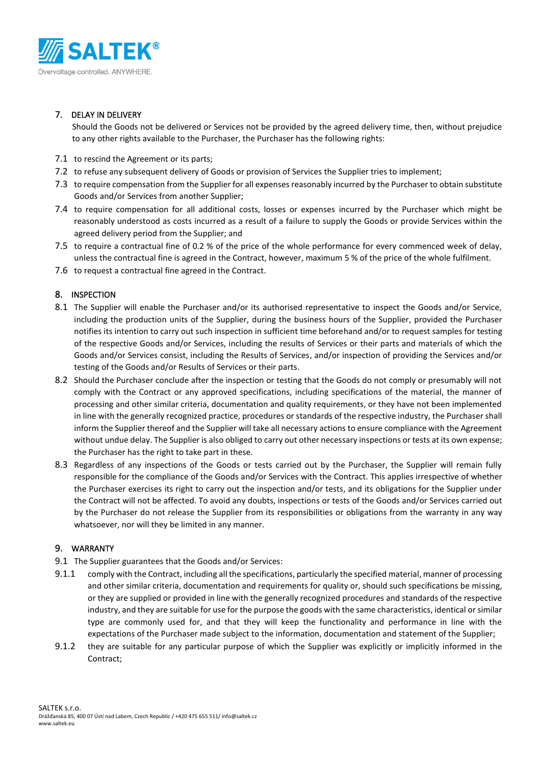

# 7. DELAY IN DELIVERY

Should the Goods not be delivered or Services not be provided by the agreed delivery time, then, without prejudice to any other rights available to the Purchaser, the Purchaser has the following rights:

- 7.1 to rescind the Agreement or its parts;
- 7.2 to refuse any subsequent delivery of Goods or provision of Services the Supplier tries to implement;
- 7.3 to require compensation from the Supplier for all expenses reasonably incurred by the Purchaser to obtain substitute Goods and/or Services from another Supplier;
- 7.4 to require compensation for all additional costs, losses or expenses incurred by the Purchaser which might be reasonably understood as costs incurred as a result of a failure to supply the Goods or provide Services within the agreed delivery period from the Supplier; and
- 7.5 to require a contractual fine of 0.2 % of the price of the whole performance for every commenced week of delay, unless the contractual fine is agreed in the Contract, however, maximum 5 % of the price of the whole fulfilment.
- 7.6 to request a contractual fine agreed in the Contract.

# 8. INSPECTION

- 8.1 The Supplier will enable the Purchaser and/or its authorised representative to inspect the Goods and/or Service, including the production units of the Supplier, during the business hours of the Supplier, provided the Purchaser notifies its intention to carry out such inspection in sufficient time beforehand and/or to request samples for testing of the respective Goods and/or Services, including the results of Services or their parts and materials of which the Goods and/or Services consist, including the Results of Services, and/or inspection of providing the Services and/or testing of the Goods and/or Results of Services or their parts.
- 8.2 Should the Purchaser conclude after the inspection or testing that the Goods do not comply or presumably will not comply with the Contract or any approved specifications, including specifications of the material, the manner of processing and other similar criteria, documentation and quality requirements, or they have not been implemented in line with the generally recognized practice, procedures or standards of the respective industry, the Purchaser shall inform the Supplier thereof and the Supplier will take all necessary actions to ensure compliance with the Agreement without undue delay. The Supplier is also obliged to carry out other necessary inspections or tests at its own expense; the Purchaser has the right to take part in these.
- 8.3 Regardless of any inspections of the Goods or tests carried out by the Purchaser, the Supplier will remain fully responsible for the compliance of the Goods and/or Services with the Contract. This applies irrespective of whether the Purchaser exercises its right to carry out the inspection and/or tests, and its obligations for the Supplier under the Contract will not be affected. To avoid any doubts, inspections or tests of the Goods and/or Services carried out by the Purchaser do not release the Supplier from its responsibilities or obligations from the warranty in any way whatsoever, nor will they be limited in any manner.

## <span id="page-4-1"></span>9. WARRANTY

- <span id="page-4-0"></span>9.1 The Supplier guarantees that the Goods and/or Services:
- 9.1.1 comply with the Contract, including all the specifications, particularly the specified material, manner of processing and other similar criteria, documentation and requirements for quality or, should such specifications be missing, or they are supplied or provided in line with the generally recognized procedures and standards of the respective industry, and they are suitable for use for the purpose the goods with the same characteristics, identical or similar type are commonly used for, and that they will keep the functionality and performance in line with the expectations of the Purchaser made subject to the information, documentation and statement of the Supplier;
- 9.1.2 they are suitable for any particular purpose of which the Supplier was explicitly or implicitly informed in the Contract;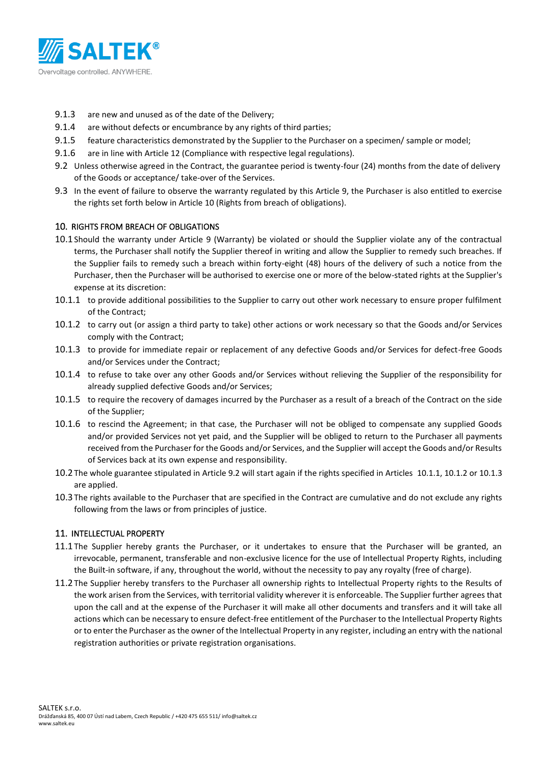

- 9.1.3 are new and unused as of the date of the Delivery;
- 9.1.4 are without defects or encumbrance by any rights of third parties;
- 9.1.5 feature characteristics demonstrated by the Supplier to the Purchaser on a specimen/ sample or model;
- 9.1.6 are in line with Article [12](#page-6-0) (Compliance with respective legal regulations).
- <span id="page-5-1"></span>9.2 Unless otherwise agreed in the Contract, the guarantee period is twenty-four (24) months from the date of delivery of the Goods or acceptance/ take-over of the Services.
- 9.3 In the event of failure to observe the warranty regulated by this Article [9,](#page-4-1) the Purchaser is also entitled to exercise the rights set forth below in Articl[e 10](#page-5-0) (Rights from breach of obligations).

#### <span id="page-5-0"></span>10. RIGHTS FROM BREACH OF OBLIGATIONS

- <span id="page-5-5"></span>10.1Should the warranty under Article [9](#page-4-1) (Warranty) be violated or should the Supplier violate any of the contractual terms, the Purchaser shall notify the Supplier thereof in writing and allow the Supplier to remedy such breaches. If the Supplier fails to remedy such a breach within forty-eight (48) hours of the delivery of such a notice from the Purchaser, then the Purchaser will be authorised to exercise one or more of the below-stated rights at the Supplier's expense at its discretion:
- <span id="page-5-2"></span>10.1.1 to provide additional possibilities to the Supplier to carry out other work necessary to ensure proper fulfilment of the Contract;
- <span id="page-5-3"></span>10.1.2 to carry out (or assign a third party to take) other actions or work necessary so that the Goods and/or Services comply with the Contract;
- <span id="page-5-4"></span>10.1.3 to provide for immediate repair or replacement of any defective Goods and/or Services for defect-free Goods and/or Services under the Contract;
- 10.1.4 to refuse to take over any other Goods and/or Services without relieving the Supplier of the responsibility for already supplied defective Goods and/or Services;
- 10.1.5 to require the recovery of damages incurred by the Purchaser as a result of a breach of the Contract on the side of the Supplier;
- 10.1.6 to rescind the Agreement; in that case, the Purchaser will not be obliged to compensate any supplied Goods and/or provided Services not yet paid, and the Supplier will be obliged to return to the Purchaser all payments received from the Purchaser for the Goods and/or Services, and the Supplier will accept the Goods and/or Results of Services back at its own expense and responsibility.
- 10.2The whole guarantee stipulated in Articl[e 9.2](#page-5-1) will start again if the rights specified in Articles [10.1.1,](#page-5-2) [10.1.2](#page-5-3) o[r 10.1.3](#page-5-4) are applied.
- 10.3The rights available to the Purchaser that are specified in the Contract are cumulative and do not exclude any rights following from the laws or from principles of justice.

#### <span id="page-5-6"></span>11. INTELLECTUAL PROPERTY

- 11.1The Supplier hereby grants the Purchaser, or it undertakes to ensure that the Purchaser will be granted, an irrevocable, permanent, transferable and non-exclusive licence for the use of Intellectual Property Rights, including the Built-in software, if any, throughout the world, without the necessity to pay any royalty (free of charge).
- 11.2The Supplier hereby transfers to the Purchaser all ownership rights to Intellectual Property rights to the Results of the work arisen from the Services, with territorial validity wherever it is enforceable. The Supplier further agrees that upon the call and at the expense of the Purchaser it will make all other documents and transfers and it will take all actions which can be necessary to ensure defect-free entitlement of the Purchaser to the Intellectual Property Rights or to enter the Purchaser as the owner of the Intellectual Property in any register, including an entry with the national registration authorities or private registration organisations.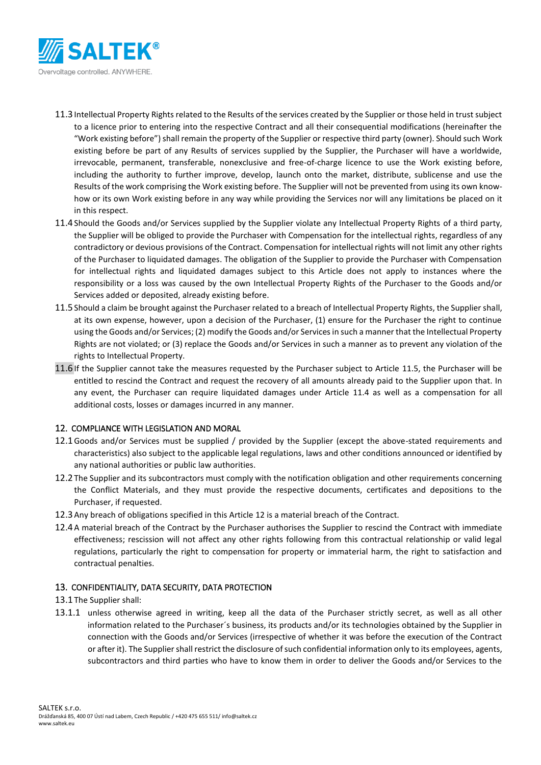

- 11.3Intellectual Property Rights related to the Results of the services created by the Supplier or those held in trust subject to a licence prior to entering into the respective Contract and all their consequential modifications (hereinafter the "Work existing before") shall remain the property of the Supplier or respective third party (owner). Should such Work existing before be part of any Results of services supplied by the Supplier, the Purchaser will have a worldwide, irrevocable, permanent, transferable, nonexclusive and free-of-charge licence to use the Work existing before, including the authority to further improve, develop, launch onto the market, distribute, sublicense and use the Results of the work comprising the Work existing before. The Supplier will not be prevented from using its own knowhow or its own Work existing before in any way while providing the Services nor will any limitations be placed on it in this respect.
- <span id="page-6-2"></span>11.4Should the Goods and/or Services supplied by the Supplier violate any Intellectual Property Rights of a third party, the Supplier will be obliged to provide the Purchaser with Compensation for the intellectual rights, regardless of any contradictory or devious provisions of the Contract. Compensation for intellectual rights will not limit any other rights of the Purchaser to liquidated damages. The obligation of the Supplier to provide the Purchaser with Compensation for intellectual rights and liquidated damages subject to this Article does not apply to instances where the responsibility or a loss was caused by the own Intellectual Property Rights of the Purchaser to the Goods and/or Services added or deposited, already existing before.
- <span id="page-6-1"></span>11.5Should a claim be brought against the Purchaser related to a breach of Intellectual Property Rights, the Supplier shall, at its own expense, however, upon a decision of the Purchaser, (1) ensure for the Purchaser the right to continue using the Goods and/or Services; (2) modify the Goods and/or Services in such a manner that the Intellectual Property Rights are not violated; or (3) replace the Goods and/or Services in such a manner as to prevent any violation of the rights to Intellectual Property.
- 11.6If the Supplier cannot take the measures requested by the Purchaser subject to Article [11.5,](#page-6-1) the Purchaser will be entitled to rescind the Contract and request the recovery of all amounts already paid to the Supplier upon that. In any event, the Purchaser can require liquidated damages under Article [11.4](#page-6-2) as well as a compensation for all additional costs, losses or damages incurred in any manner.

## <span id="page-6-0"></span>12. COMPLIANCE WITH LEGISLATION AND MORAL

- 12.1Goods and/or Services must be supplied / provided by the Supplier (except the above-stated requirements and characteristics) also subject to the applicable legal regulations, laws and other conditions announced or identified by any national authorities or public law authorities.
- 12.2The Supplier and its subcontractors must comply with the notification obligation and other requirements concerning the Conflict Materials, and they must provide the respective documents, certificates and depositions to the Purchaser, if requested.
- 12.3Any breach of obligations specified in this Article [12](#page-6-0) is a material breach of the Contract.
- 12.4A material breach of the Contract by the Purchaser authorises the Supplier to rescind the Contract with immediate effectiveness; rescission will not affect any other rights following from this contractual relationship or valid legal regulations, particularly the right to compensation for property or immaterial harm, the right to satisfaction and contractual penalties.

## <span id="page-6-3"></span>13. CONFIDENTIALITY, DATA SECURITY, DATA PROTECTION

- 13.1The Supplier shall:
- 13.1.1 unless otherwise agreed in writing, keep all the data of the Purchaser strictly secret, as well as all other information related to the Purchaser´s business, its products and/or its technologies obtained by the Supplier in connection with the Goods and/or Services (irrespective of whether it was before the execution of the Contract or after it). The Supplier shall restrict the disclosure of such confidential information only to its employees, agents, subcontractors and third parties who have to know them in order to deliver the Goods and/or Services to the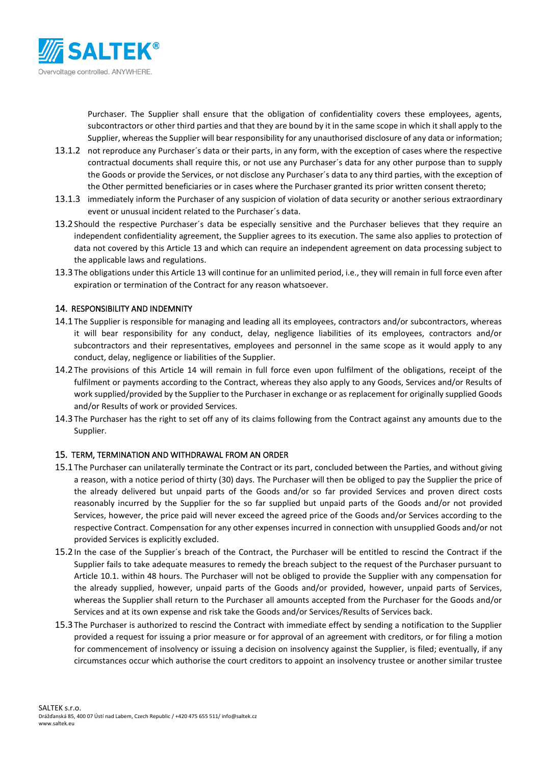

Purchaser. The Supplier shall ensure that the obligation of confidentiality covers these employees, agents, subcontractors or other third parties and that they are bound by it in the same scope in which it shall apply to the Supplier, whereas the Supplier will bear responsibility for any unauthorised disclosure of any data or information;

- 13.1.2 not reproduce any Purchaser´s data or their parts, in any form, with the exception of cases where the respective contractual documents shall require this, or not use any Purchaser´s data for any other purpose than to supply the Goods or provide the Services, or not disclose any Purchaser´s data to any third parties, with the exception of the Other permitted beneficiaries or in cases where the Purchaser granted its prior written consent thereto;
- 13.1.3 immediately inform the Purchaser of any suspicion of violation of data security or another serious extraordinary event or unusual incident related to the Purchaser´s data.
- 13.2Should the respective Purchaser´s data be especially sensitive and the Purchaser believes that they require an independent confidentiality agreement, the Supplier agrees to its execution. The same also applies to protection of data not covered by this Article [13](#page-6-3) and which can require an independent agreement on data processing subject to the applicable laws and regulations.
- 13.3The obligations under this Articl[e 13](#page-6-3) will continue for an unlimited period, i.e., they will remain in full force even after expiration or termination of the Contract for any reason whatsoever.

## <span id="page-7-0"></span>14. RESPONSIBILITY AND INDEMNITY

- 14.1The Supplier is responsible for managing and leading all its employees, contractors and/or subcontractors, whereas it will bear responsibility for any conduct, delay, negligence liabilities of its employees, contractors and/or subcontractors and their representatives, employees and personnel in the same scope as it would apply to any conduct, delay, negligence or liabilities of the Supplier.
- 14.2The provisions of this Article [14](#page-7-0) will remain in full force even upon fulfilment of the obligations, receipt of the fulfilment or payments according to the Contract, whereas they also apply to any Goods, Services and/or Results of work supplied/provided by the Supplier to the Purchaser in exchange or as replacement for originally supplied Goods and/or Results of work or provided Services.
- 14.3The Purchaser has the right to set off any of its claims following from the Contract against any amounts due to the Supplier.

#### 15. TERM, TERMINATION AND WITHDRAWAL FROM AN ORDER

- 15.1The Purchaser can unilaterally terminate the Contract or its part, concluded between the Parties, and without giving a reason, with a notice period of thirty (30) days. The Purchaser will then be obliged to pay the Supplier the price of the already delivered but unpaid parts of the Goods and/or so far provided Services and proven direct costs reasonably incurred by the Supplier for the so far supplied but unpaid parts of the Goods and/or not provided Services, however, the price paid will never exceed the agreed price of the Goods and/or Services according to the respective Contract. Compensation for any other expenses incurred in connection with unsupplied Goods and/or not provided Services is explicitly excluded.
- 15.2In the case of the Supplier´s breach of the Contract, the Purchaser will be entitled to rescind the Contract if the Supplier fails to take adequate measures to remedy the breach subject to the request of the Purchaser pursuant to Article [10.1.](#page-5-5) within 48 hours. The Purchaser will not be obliged to provide the Supplier with any compensation for the already supplied, however, unpaid parts of the Goods and/or provided, however, unpaid parts of Services, whereas the Supplier shall return to the Purchaser all amounts accepted from the Purchaser for the Goods and/or Services and at its own expense and risk take the Goods and/or Services/Results of Services back.
- 15.3The Purchaser is authorized to rescind the Contract with immediate effect by sending a notification to the Supplier provided a request for issuing a prior measure or for approval of an agreement with creditors, or for filing a motion for commencement of insolvency or issuing a decision on insolvency against the Supplier, is filed; eventually, if any circumstances occur which authorise the court creditors to appoint an insolvency trustee or another similar trustee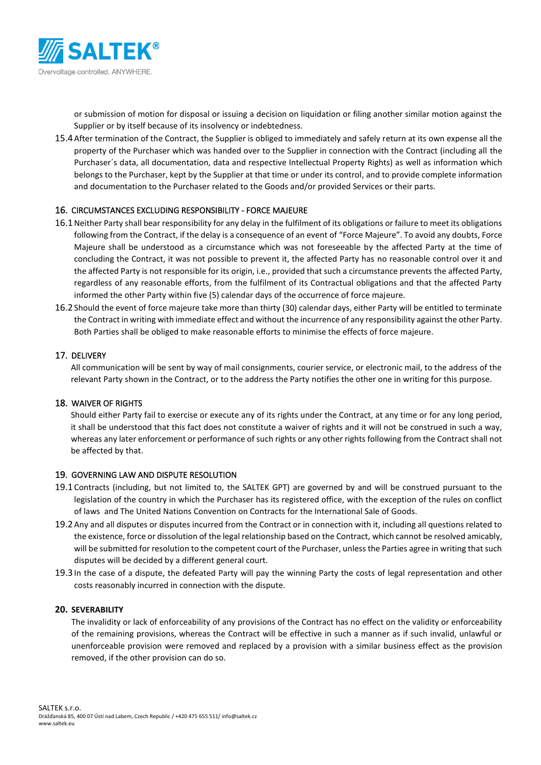

or submission of motion for disposal or issuing a decision on liquidation or filing another similar motion against the Supplier or by itself because of its insolvency or indebtedness.

15.4After termination of the Contract, the Supplier is obliged to immediately and safely return at its own expense all the property of the Purchaser which was handed over to the Supplier in connection with the Contract (including all the Purchaser´s data, all documentation, data and respective Intellectual Property Rights) as well as information which belongs to the Purchaser, kept by the Supplier at that time or under its control, and to provide complete information and documentation to the Purchaser related to the Goods and/or provided Services or their parts.

#### <span id="page-8-0"></span>16. CIRCUMSTANCES EXCLUDING RESPONSIBILITY - FORCE MAJEURE

- 16.1Neither Party shall bear responsibility for any delay in the fulfilment of its obligations or failure to meet its obligations following from the Contract, if the delay is a consequence of an event of "Force Majeure". To avoid any doubts, Force Majeure shall be understood as a circumstance which was not foreseeable by the affected Party at the time of concluding the Contract, it was not possible to prevent it, the affected Party has no reasonable control over it and the affected Party is not responsible for its origin, i.e., provided that such a circumstance prevents the affected Party, regardless of any reasonable efforts, from the fulfilment of its Contractual obligations and that the affected Party informed the other Party within five (5) calendar days of the occurrence of force majeure.
- 16.2Should the event of force majeure take more than thirty (30) calendar days, either Party will be entitled to terminate the Contract in writing with immediate effect and without the incurrence of any responsibility against the other Party. Both Parties shall be obliged to make reasonable efforts to minimise the effects of force majeure.

#### 17. DELIVERY

All communication will be sent by way of mail consignments, courier service, or electronic mail, to the address of the relevant Party shown in the Contract, or to the address the Party notifies the other one in writing for this purpose.

## 18. WAIVER OF RIGHTS

Should either Party fail to exercise or execute any of its rights under the Contract, at any time or for any long period, it shall be understood that this fact does not constitute a waiver of rights and it will not be construed in such a way, whereas any later enforcement or performance of such rights or any other rights following from the Contract shall not be affected by that.

#### 19. GOVERNING LAW AND DISPUTE RESOLUTION

- 19.1 Contracts (including, but not limited to, the SALTEK GPT) are governed by and will be construed pursuant to the legislation of the country in which the Purchaser has its registered office, with the exception of the rules on conflict of laws and The United Nations Convention on Contracts for the International Sale of Goods.
- 19.2Any and all disputes or disputes incurred from the Contract or in connection with it, including all questions related to the existence, force or dissolution of the legal relationship based on the Contract, which cannot be resolved amicably, will be submitted for resolution to the competent court of the Purchaser, unless the Parties agree in writing that such disputes will be decided by a different general court.
- 19.3In the case of a dispute, the defeated Party will pay the winning Party the costs of legal representation and other costs reasonably incurred in connection with the dispute.

#### **20. SEVERABILITY**

The invalidity or lack of enforceability of any provisions of the Contract has no effect on the validity or enforceability of the remaining provisions, whereas the Contract will be effective in such a manner as if such invalid, unlawful or unenforceable provision were removed and replaced by a provision with a similar business effect as the provision removed, if the other provision can do so.